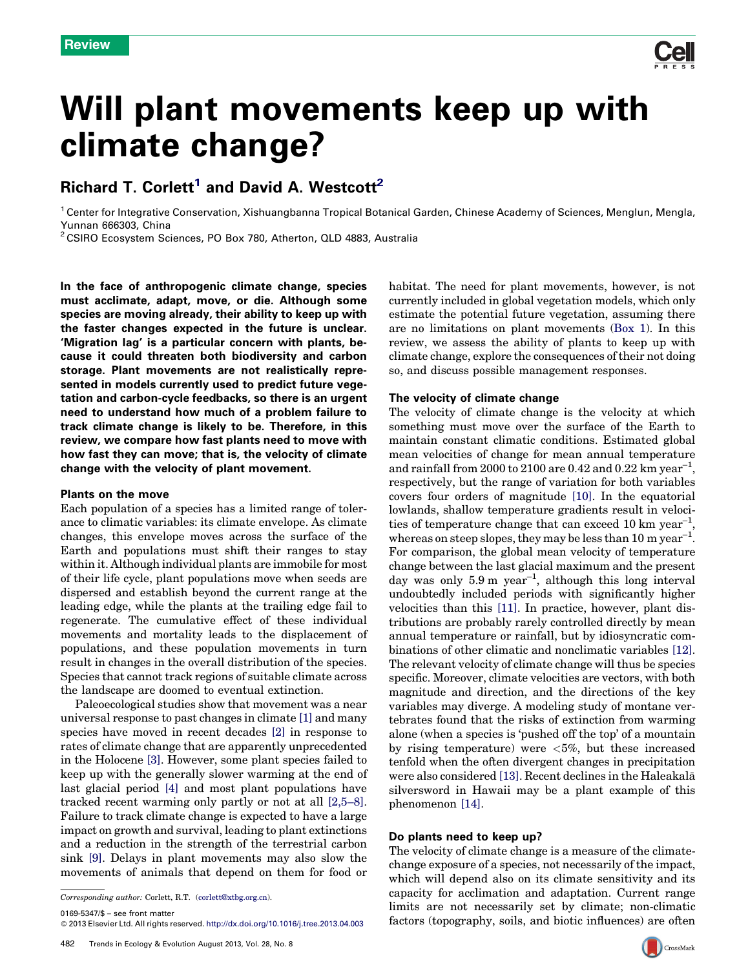# Will plant movements keep up with climate change?

## Richard T. Corlett<sup>1</sup> and David A. Westcott<sup>2</sup>

<sup>1</sup> Center for Integrative Conservation, Xishuangbanna Tropical Botanical Garden, Chinese Academy of Sciences, Menglun, Mengla, Yunnan 666303, China<br><sup>2</sup> CSIRO Ecosystem Sciences, PO Box 780, Atherton, QLD 4883, Australia

In the face of anthropogenic climate change, species must acclimate, adapt, move, or die. Although some species are moving already, their ability to keep up with the faster changes expected in the future is unclear. 'Migration lag' is a particular concern with plants, because it could threaten both biodiversity and carbon storage. Plant movements are not realistically represented in models currently used to predict future vegetation and carbon-cycle feedbacks, so there is an urgent need to understand how much of a problem failure to track climate change is likely to be. Therefore, in this review, we compare how fast plants need to move with how fast they can move; that is, the velocity of climate change with the velocity of plant movement.

#### Plants on the move

Each population of a species has a limited range of tolerance to climatic variables: its climate envelope. As climate changes, this envelope moves across the surface of the Earth and populations must shift their ranges to stay within it. Although individual plants are immobile for most of their life cycle, plant populations move when seeds are dispersed and establish beyond the current range at the leading edge, while the plants at the trailing edge fail to regenerate. The cumulative effect of these individual movements and mortality leads to the displacement of populations, and these population movements in turn result in changes in the overall distribution of the species. Species that cannot track regions of suitable climate across the landscape are doomed to eventual extinction.

Paleoecological studies show that movement was a near universal response to past changes in climate [\[1\]](#page-5-0) and many species have moved in recent decades [\[2\]](#page-5-0) in response to rates of climate change that are apparently unprecedented in the Holocene [\[3\].](#page-5-0) However, some plant species failed to keep up with the generally slower warming at the end of last glacial period [\[4\]](#page-5-0) and most plant populations have tracked recent warming only partly or not at all [\[2,5–8\]](#page-5-0). Failure to track climate change is expected to have a large impact on growth and survival, leading to plant extinctions and a reduction in the strength of the terrestrial carbon sink [\[9\].](#page-5-0) Delays in plant movements may also slow the movements of animals that depend on them for food or

Corresponding author: Corlett, R.T. ([corlett@xtbg.org.cn](mailto:corlett@xtbg.org.cn)).

0169-5347/\$ – see front matter

- 2013 Elsevier Ltd. All rights reserved. <http://dx.doi.org/10.1016/j.tree.2013.04.003>

habitat. The need for plant movements, however, is not currently included in global vegetation models, which only estimate the potential future vegetation, assuming there are no limitations on plant movements ([Box](#page-1-0) 1). In this review, we assess the ability of plants to keep up with climate change, explore the consequences of their not doing so, and discuss possible management responses.

#### The velocity of climate change

The velocity of climate change is the velocity at which something must move over the surface of the Earth to maintain constant climatic conditions. Estimated global mean velocities of change for mean annual temperature and rainfall from 2000 to 2100 are 0.42 and 0.22 km year<sup>-1</sup>, respectively, but the range of variation for both variables covers four orders of magnitude [\[10\]](#page-5-0). In the equatorial lowlands, shallow temperature gradients result in velocities of temperature change that can exceed 10 km year<sup>-1</sup>, whereas on steep slopes, they may be less than 10 m year<sup>-1</sup>. For comparison, the global mean velocity of temperature change between the last glacial maximum and the present day was only  $5.9 \text{ m}$  year<sup>-1</sup>, although this long interval undoubtedly included periods with significantly higher velocities than this [\[11\].](#page-5-0) In practice, however, plant distributions are probably rarely controlled directly by mean annual temperature or rainfall, but by idiosyncratic combinations of other climatic and nonclimatic variables [\[12\]](#page-5-0). The relevant velocity of climate change will thus be species specific. Moreover, climate velocities are vectors, with both magnitude and direction, and the directions of the key variables may diverge. A modeling study of montane vertebrates found that the risks of extinction from warming alone (when a species is 'pushed off the top' of a mountain by rising temperature) were  $\langle 5\%,$  but these increased tenfold when the often divergent changes in precipitation were also considered [\[13\]](#page-5-0). Recent declines in the Haleakalā silversword in Hawaii may be a plant example of this phenomenon [\[14\].](#page-5-0)

#### Do plants need to keep up?

The velocity of climate change is a measure of the climatechange exposure of a species, not necessarily of the impact, which will depend also on its climate sensitivity and its capacity for acclimation and adaptation. Current range limits are not necessarily set by climate; non-climatic factors (topography, soils, and biotic influences) are often



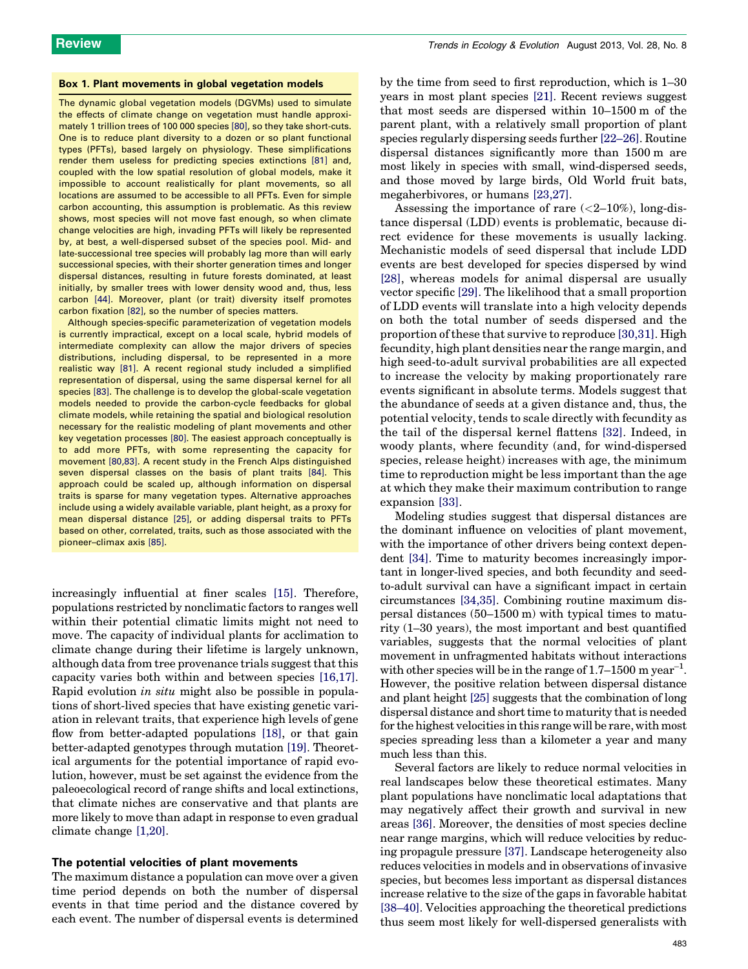#### <span id="page-1-0"></span>Box 1. Plant movements in global vegetation models

The dynamic global vegetation models (DGVMs) used to simulate the effects of climate change on vegetation must handle approximately 1 trillion trees of 100 000 species [\[80\],](#page-6-0) so they take short-cuts. One is to reduce plant diversity to a dozen or so plant functional types (PFTs), based largely on physiology. These simplifications render them useless for predicting species extinctions [\[81\]](#page-6-0) and, coupled with the low spatial resolution of global models, make it impossible to account realistically for plant movements, so all locations are assumed to be accessible to all PFTs. Even for simple carbon accounting, this assumption is problematic. As this review shows, most species will not move fast enough, so when climate change velocities are high, invading PFTs will likely be represented by, at best, a well-dispersed subset of the species pool. Mid- and late-successional tree species will probably lag more than will early successional species, with their shorter generation times and longer dispersal distances, resulting in future forests dominated, at least initially, by smaller trees with lower density wood and, thus, less carbon [\[44\].](#page-6-0) Moreover, plant (or trait) diversity itself promotes carbon fixation [\[82\],](#page-6-0) so the number of species matters.

Although species-specific parameterization of vegetation models is currently impractical, except on a local scale, hybrid models of intermediate complexity can allow the major drivers of species distributions, including dispersal, to be represented in a more realistic way [\[81\].](#page-6-0) A recent regional study included a simplified representation of dispersal, using the same dispersal kernel for all species [\[83\].](#page-6-0) The challenge is to develop the global-scale vegetation models needed to provide the carbon-cycle feedbacks for global climate models, while retaining the spatial and biological resolution necessary for the realistic modeling of plant movements and other key vegetation processes [\[80\].](#page-6-0) The easiest approach conceptually is to add more PFTs, with some representing the capacity for movement [\[80,83\].](#page-6-0) A recent study in the French Alps distinguished seven dispersal classes on the basis of plant traits [\[84\].](#page-6-0) This approach could be scaled up, although information on dispersal traits is sparse for many vegetation types. Alternative approaches include using a widely available variable, plant height, as a proxy for mean dispersal distance [\[25\]](#page-5-0), or adding dispersal traits to PFTs based on other, correlated, traits, such as those associated with the pioneer–climax axis [\[85\].](#page-6-0)

increasingly influential at finer scales [\[15\]](#page-5-0). Therefore, populations restricted by nonclimatic factors to ranges well within their potential climatic limits might not need to move. The capacity of individual plants for acclimation to climate change during their lifetime is largely unknown, although data from tree provenance trials suggest that this capacity varies both within and between species [\[16,17\]](#page-5-0). Rapid evolution in situ might also be possible in populations of short-lived species that have existing genetic variation in relevant traits, that experience high levels of gene flow from better-adapted populations [\[18\],](#page-5-0) or that gain better-adapted genotypes through mutation [\[19\]](#page-5-0). Theoretical arguments for the potential importance of rapid evolution, however, must be set against the evidence from the paleoecological record of range shifts and local extinctions, that climate niches are conservative and that plants are more likely to move than adapt in response to even gradual climate change [\[1,20\].](#page-5-0)

#### The potential velocities of plant movements

The maximum distance a population can move over a given time period depends on both the number of dispersal events in that time period and the distance covered by each event. The number of dispersal events is determined

by the time from seed to first reproduction, which is 1–30 years in most plant species [\[21\]](#page-5-0). Recent reviews suggest that most seeds are dispersed within 10–1500 m of the parent plant, with a relatively small proportion of plant species regularly dispersing seeds further [\[22–26\].](#page-5-0) Routine dispersal distances significantly more than 1500 m are most likely in species with small, wind-dispersed seeds, and those moved by large birds, Old World fruit bats, megaherbivores, or humans [\[23,27\]](#page-5-0).

Assessing the importance of rare  $\langle \langle 2-10\% \rangle$ , long-distance dispersal (LDD) events is problematic, because direct evidence for these movements is usually lacking. Mechanistic models of seed dispersal that include LDD events are best developed for species dispersed by wind [\[28\]](#page-5-0), whereas models for animal dispersal are usually vector specific [\[29\].](#page-5-0) The likelihood that a small proportion of LDD events will translate into a high velocity depends on both the total number of seeds dispersed and the proportion of these that survive to reproduce [\[30,31\]](#page-5-0). High fecundity, high plant densities near the range margin, and high seed-to-adult survival probabilities are all expected to increase the velocity by making proportionately rare events significant in absolute terms. Models suggest that the abundance of seeds at a given distance and, thus, the potential velocity, tends to scale directly with fecundity as the tail of the dispersal kernel flattens [\[32\]](#page-5-0). Indeed, in woody plants, where fecundity (and, for wind-dispersed species, release height) increases with age, the minimum time to reproduction might be less important than the age at which they make their maximum contribution to range expansion [\[33\]](#page-5-0).

Modeling studies suggest that dispersal distances are the dominant influence on velocities of plant movement, with the importance of other drivers being context dependent [\[34\]](#page-5-0). Time to maturity becomes increasingly important in longer-lived species, and both fecundity and seedto-adult survival can have a significant impact in certain circumstances [\[34,35\]](#page-5-0). Combining routine maximum dispersal distances (50–1500 m) with typical times to maturity (1–30 years), the most important and best quantified variables, suggests that the normal velocities of plant movement in unfragmented habitats without interactions with other species will be in the range of  $1.7-1500$  m year<sup>-1</sup>. However, the positive relation between dispersal distance and plant height [\[25\]](#page-5-0) suggests that the combination of long dispersal distance and short time to maturity that is needed for the highest velocities in this range will be rare, with most species spreading less than a kilometer a year and many much less than this.

Several factors are likely to reduce normal velocities in real landscapes below these theoretical estimates. Many plant populations have nonclimatic local adaptations that may negatively affect their growth and survival in new areas [\[36\]](#page-5-0). Moreover, the densities of most species decline near range margins, which will reduce velocities by reducing propagule pressure [\[37\].](#page-5-0) Landscape heterogeneity also reduces velocities in models and in observations of invasive species, but becomes less important as dispersal distances increase relative to the size of the gaps in favorable habitat [\[38–40\].](#page-5-0) Velocities approaching the theoretical predictions thus seem most likely for well-dispersed generalists with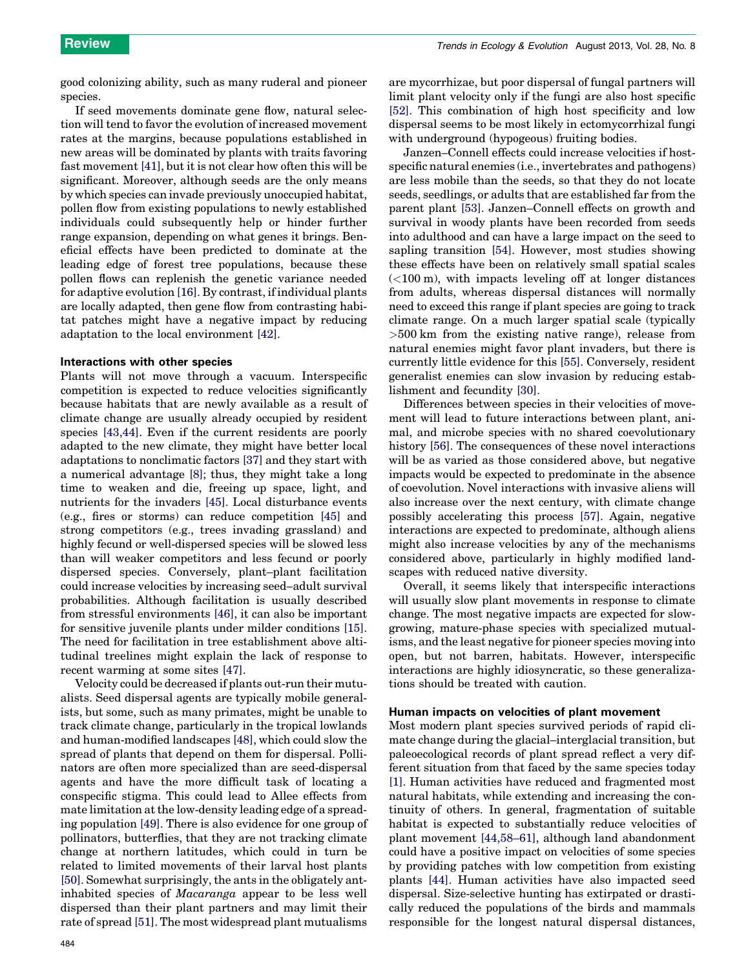good colonizing ability, such as many ruderal and pioneer species.

If seed movements dominate gene flow, natural selection will tend to favor the evolution of increased movement rates at the margins, because populations established in new areas will be dominated by plants with traits favoring fast movement [\[41\],](#page-5-0) but it is not clear how often this will be significant. Moreover, although seeds are the only means by which species can invade previously unoccupied habitat, pollen flow from existing populations to newly established individuals could subsequently help or hinder further range expansion, depending on what genes it brings. Beneficial effects have been predicted to dominate at the leading edge of forest tree populations, because these pollen flows can replenish the genetic variance needed for adaptive evolution [\[16\]](#page-5-0). By contrast, if individual plants are locally adapted, then gene flow from contrasting habitat patches might have a negative impact by reducing adaptation to the local environment [\[42\]](#page-5-0).

#### Interactions with other species

Plants will not move through a vacuum. Interspecific competition is expected to reduce velocities significantly because habitats that are newly available as a result of climate change are usually already occupied by resident species [\[43,44\].](#page-6-0) Even if the current residents are poorly adapted to the new climate, they might have better local adaptations to nonclimatic factors [\[37\]](#page-5-0) and they start with a numerical advantage [\[8\]](#page-5-0); thus, they might take a long time to weaken and die, freeing up space, light, and nutrients for the invaders [\[45\].](#page-6-0) Local disturbance events (e.g., fires or storms) can reduce competition [\[45\]](#page-6-0) and strong competitors (e.g., trees invading grassland) and highly fecund or well-dispersed species will be slowed less than will weaker competitors and less fecund or poorly dispersed species. Conversely, plant–plant facilitation could increase velocities by increasing seed–adult survival probabilities. Although facilitation is usually described from stressful environments [\[46\],](#page-6-0) it can also be important for sensitive juvenile plants under milder conditions [\[15\]](#page-5-0). The need for facilitation in tree establishment above altitudinal treelines might explain the lack of response to recent warming at some sites [\[47\].](#page-6-0)

Velocity could be decreased if plants out-run their mutualists. Seed dispersal agents are typically mobile generalists, but some, such as many primates, might be unable to track climate change, particularly in the tropical lowlands and human-modified landscapes [\[48\]](#page-6-0), which could slow the spread of plants that depend on them for dispersal. Pollinators are often more specialized than are seed-dispersal agents and have the more difficult task of locating a conspecific stigma. This could lead to Allee effects from mate limitation at the low-density leading edge of a spreading population [\[49\]](#page-6-0). There is also evidence for one group of pollinators, butterflies, that they are not tracking climate change at northern latitudes, which could in turn be related to limited movements of their larval host plants [\[50\]](#page-6-0). Somewhat surprisingly, the ants in the obligately antinhabited species of Macaranga appear to be less well dispersed than their plant partners and may limit their rate of spread [\[51\].](#page-6-0) The most widespread plant mutualisms are mycorrhizae, but poor dispersal of fungal partners will limit plant velocity only if the fungi are also host specific [\[52\]](#page-6-0). This combination of high host specificity and low dispersal seems to be most likely in ectomycorrhizal fungi with underground (hypogeous) fruiting bodies.

Janzen–Connell effects could increase velocities if hostspecific natural enemies (i.e., invertebrates and pathogens) are less mobile than the seeds, so that they do not locate seeds, seedlings, or adults that are established far from the parent plant [\[53\]](#page-6-0). Janzen–Connell effects on growth and survival in woody plants have been recorded from seeds into adulthood and can have a large impact on the seed to sapling transition [\[54\]](#page-6-0). However, most studies showing these effects have been on relatively small spatial scales  $(<100 \text{ m})$ , with impacts leveling off at longer distances from adults, whereas dispersal distances will normally need to exceed this range if plant species are going to track climate range. On a much larger spatial scale (typically >500 km from the existing native range), release from natural enemies might favor plant invaders, but there is currently little evidence for this [\[55\]](#page-6-0). Conversely, resident generalist enemies can slow invasion by reducing establishment and fecundity [\[30\].](#page-5-0)

Differences between species in their velocities of movement will lead to future interactions between plant, animal, and microbe species with no shared coevolutionary history [\[56\].](#page-6-0) The consequences of these novel interactions will be as varied as those considered above, but negative impacts would be expected to predominate in the absence of coevolution. Novel interactions with invasive aliens will also increase over the next century, with climate change possibly accelerating this process [\[57\].](#page-6-0) Again, negative interactions are expected to predominate, although aliens might also increase velocities by any of the mechanisms considered above, particularly in highly modified landscapes with reduced native diversity.

Overall, it seems likely that interspecific interactions will usually slow plant movements in response to climate change. The most negative impacts are expected for slowgrowing, mature-phase species with specialized mutualisms, and the least negative for pioneer species moving into open, but not barren, habitats. However, interspecific interactions are highly idiosyncratic, so these generalizations should be treated with caution.

#### Human impacts on velocities of plant movement

Most modern plant species survived periods of rapid climate change during the glacial–interglacial transition, but paleoecological records of plant spread reflect a very different situation from that faced by the same species today [\[1\].](#page-5-0) Human activities have reduced and fragmented most natural habitats, while extending and increasing the continuity of others. In general, fragmentation of suitable habitat is expected to substantially reduce velocities of plant movement [\[44,58–61\]](#page-6-0), although land abandonment could have a positive impact on velocities of some species by providing patches with low competition from existing plants [\[44\]](#page-6-0). Human activities have also impacted seed dispersal. Size-selective hunting has extirpated or drastically reduced the populations of the birds and mammals responsible for the longest natural dispersal distances,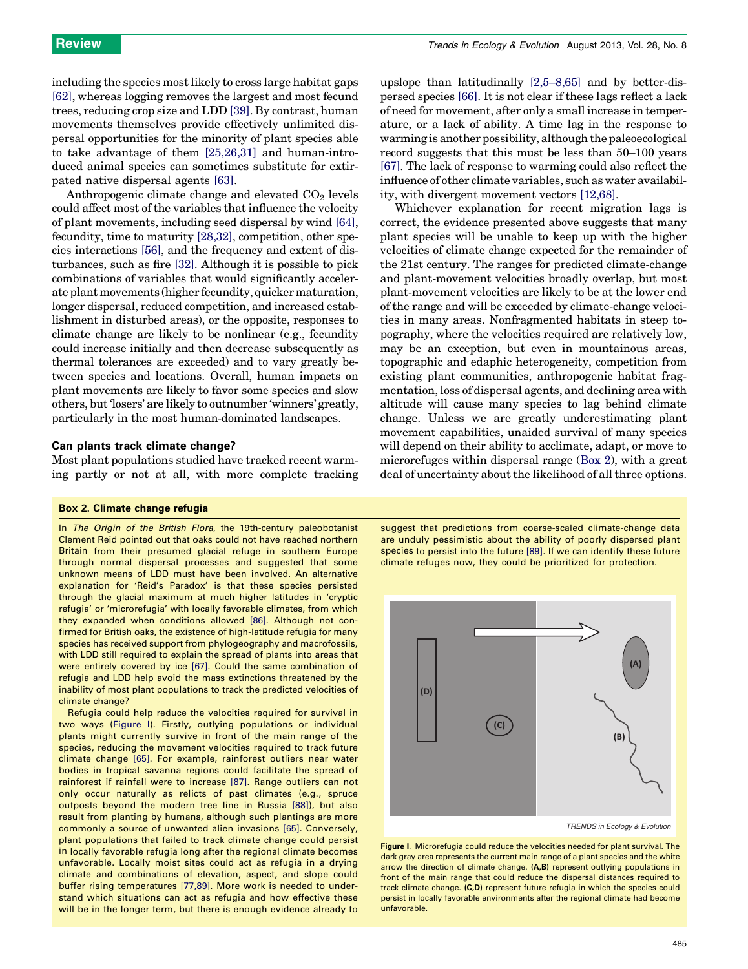<span id="page-3-0"></span>including the species mostlikely to cross large habitat gaps [\[62\]](#page-6-0), whereas logging removes the largest and most fecund trees, reducing crop size and LDD [\[39\].](#page-5-0) By contrast, human movements themselves provide effectively unlimited dispersal opportunities for the minority of plant species able to take advantage of them [\[25,26,31\]](#page-5-0) and human-introduced animal species can sometimes substitute for extirpated native dispersal agents [\[63\].](#page-6-0)

Anthropogenic climate change and elevated  $CO<sub>2</sub>$  levels could affect most of the variables that influence the velocity of plant movements, including seed dispersal by wind [\[64\]](#page-6-0), fecundity, time to maturity [\[28,32\]](#page-5-0), competition, other species interactions [\[56\],](#page-6-0) and the frequency and extent of disturbances, such as fire [\[32\]](#page-5-0). Although it is possible to pick combinations of variables that would significantly accelerate plant movements (higher fecundity, quicker maturation, longer dispersal, reduced competition, and increased establishment in disturbed areas), or the opposite, responses to climate change are likely to be nonlinear (e.g., fecundity could increase initially and then decrease subsequently as thermal tolerances are exceeded) and to vary greatly between species and locations. Overall, human impacts on plant movements are likely to favor some species and slow others, but'losers' are likely to outnumber 'winners' greatly, particularly in the most human-dominated landscapes.

#### Can plants track climate change?

Most plant populations studied have tracked recent warming partly or not at all, with more complete tracking

#### Box 2. Climate change refugia

In The Origin of the British Flora, the 19th-century paleobotanist Clement Reid pointed out that oaks could not have reached northern Britain from their presumed glacial refuge in southern Europe through normal dispersal processes and suggested that some unknown means of LDD must have been involved. An alternative explanation for 'Reid's Paradox' is that these species persisted through the glacial maximum at much higher latitudes in 'cryptic refugia' or 'microrefugia' with locally favorable climates, from which they expanded when conditions allowed [\[86\].](#page-6-0) Although not confirmed for British oaks, the existence of high-latitude refugia for many species has received support from phylogeography and macrofossils, with LDD still required to explain the spread of plants into areas that were entirely covered by ice [\[67\]](#page-6-0). Could the same combination of refugia and LDD help avoid the mass extinctions threatened by the inability of most plant populations to track the predicted velocities of climate change?

Refugia could help reduce the velocities required for survival in two ways (Figure I). Firstly, outlying populations or individual plants might currently survive in front of the main range of the species, reducing the movement velocities required to track future climate change [\[65\].](#page-6-0) For example, rainforest outliers near water bodies in tropical savanna regions could facilitate the spread of rainforest if rainfall were to increase [\[87\].](#page-6-0) Range outliers can not only occur naturally as relicts of past climates (e.g., spruce outposts beyond the modern tree line in Russia [\[88\]\)](#page-6-0), but also result from planting by humans, although such plantings are more commonly a source of unwanted alien invasions [\[65\]](#page-6-0). Conversely, plant populations that failed to track climate change could persist in locally favorable refugia long after the regional climate becomes unfavorable. Locally moist sites could act as refugia in a drying climate and combinations of elevation, aspect, and slope could buffer rising temperatures [\[77,89\]](#page-6-0). More work is needed to understand which situations can act as refugia and how effective these will be in the longer term, but there is enough evidence already to

upslope than latitudinally [\[2,5–8,65\]](#page-5-0) and by better-dispersed species [\[66\]](#page-6-0). It is not clear if these lags reflect a lack of need for movement, after only a small increase in temperature, or a lack of ability. A time lag in the response to warming is another possibility, although the paleoecological record suggests that this must be less than 50–100 years [\[67\].](#page-6-0) The lack of response to warming could also reflect the influence of other climate variables, such as water availability, with divergent movement vectors [\[12,68\]](#page-5-0).

Whichever explanation for recent migration lags is correct, the evidence presented above suggests that many plant species will be unable to keep up with the higher velocities of climate change expected for the remainder of the 21st century. The ranges for predicted climate-change and plant-movement velocities broadly overlap, but most plant-movement velocities are likely to be at the lower end of the range and will be exceeded by climate-change velocities in many areas. Nonfragmented habitats in steep topography, where the velocities required are relatively low, may be an exception, but even in mountainous areas, topographic and edaphic heterogeneity, competition from existing plant communities, anthropogenic habitat fragmentation, loss of dispersal agents, and declining area with altitude will cause many species to lag behind climate change. Unless we are greatly underestimating plant movement capabilities, unaided survival of many species will depend on their ability to acclimate, adapt, or move to microrefuges within dispersal range (Box 2), with a great deal of uncertainty about the likelihood of all three options.

suggest that predictions from coarse-scaled climate-change data are unduly pessimistic about the ability of poorly dispersed plant species to persist into the future [\[89\].](#page-6-0) If we can identify these future climate refuges now, they could be prioritized for protection.



*TRENDS in Ecology & Evolution* 

Figure I. Microrefugia could reduce the velocities needed for plant survival. The dark gray area represents the current main range of a plant species and the white arrow the direction of climate change. (A,B) represent outlying populations in front of the main range that could reduce the dispersal distances required to track climate change. (C,D) represent future refugia in which the species could persist in locally favorable environments after the regional climate had become unfavorable.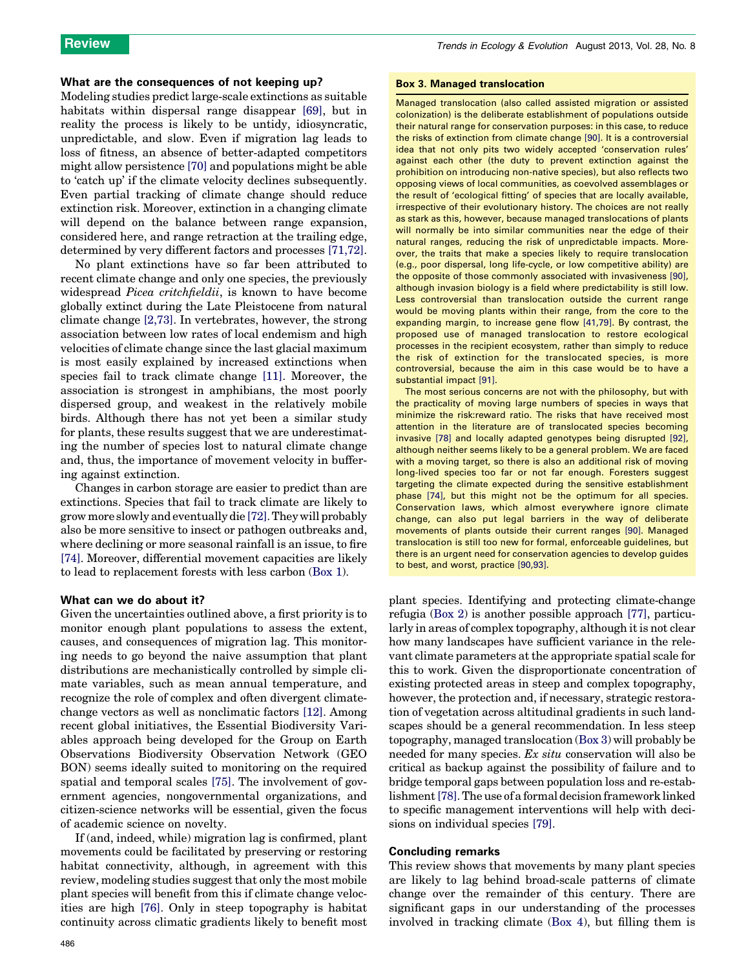### What are the consequences of not keeping up?

Modeling studies predict large-scale extinctions as suitable habitats within dispersal range disappear [\[69\]](#page-6-0), but in reality the process is likely to be untidy, idiosyncratic, unpredictable, and slow. Even if migration lag leads to loss of fitness, an absence of better-adapted competitors might allow persistence [\[70\]](#page-6-0) and populations might be able to 'catch up' if the climate velocity declines subsequently. Even partial tracking of climate change should reduce extinction risk. Moreover, extinction in a changing climate will depend on the balance between range expansion, considered here, and range retraction at the trailing edge, determined by very different factors and processes [\[71,72\]](#page-6-0).

No plant extinctions have so far been attributed to recent climate change and only one species, the previously widespread *Picea critchfieldii*, is known to have become globally extinct during the Late Pleistocene from natural climate change [\[2,73\]](#page-5-0). In vertebrates, however, the strong association between low rates of local endemism and high velocities of climate change since the last glacial maximum is most easily explained by increased extinctions when species fail to track climate change [\[11\]](#page-5-0). Moreover, the association is strongest in amphibians, the most poorly dispersed group, and weakest in the relatively mobile birds. Although there has not yet been a similar study for plants, these results suggest that we are underestimating the number of species lost to natural climate change and, thus, the importance of movement velocity in buffering against extinction.

Changes in carbon storage are easier to predict than are extinctions. Species that fail to track climate are likely to grow more slowly and eventually die [\[72\].](#page-6-0)Theywill probably also be more sensitive to insect or pathogen outbreaks and, where declining or more seasonal rainfall is an issue, to fire [\[74\].](#page-6-0) Moreover, differential movement capacities are likely to lead to replacement forests with less carbon ([Box](#page-1-0) 1).

#### What can we do about it?

Given the uncertainties outlined above, a first priority is to monitor enough plant populations to assess the extent, causes, and consequences of migration lag. This monitoring needs to go beyond the naive assumption that plant distributions are mechanistically controlled by simple climate variables, such as mean annual temperature, and recognize the role of complex and often divergent climatechange vectors as well as nonclimatic factors [\[12\].](#page-5-0) Among recent global initiatives, the Essential Biodiversity Variables approach being developed for the Group on Earth Observations Biodiversity Observation Network (GEO BON) seems ideally suited to monitoring on the required spatial and temporal scales [\[75\].](#page-6-0) The involvement of government agencies, nongovernmental organizations, and citizen-science networks will be essential, given the focus of academic science on novelty.

If (and, indeed, while) migration lag is confirmed, plant movements could be facilitated by preserving or restoring habitat connectivity, although, in agreement with this review, modeling studies suggest that only the most mobile plant species will benefit from this if climate change velocities are high [\[76\]](#page-6-0). Only in steep topography is habitat continuity across climatic gradients likely to benefit most

#### Box 3. Managed translocation

Managed translocation (also called assisted migration or assisted colonization) is the deliberate establishment of populations outside their natural range for conservation purposes: in this case, to reduce the risks of extinction from climate change [\[90\].](#page-6-0) It is a controversial idea that not only pits two widely accepted 'conservation rules' against each other (the duty to prevent extinction against the prohibition on introducing non-native species), but also reflects two opposing views of local communities, as coevolved assemblages or the result of 'ecological fitting' of species that are locally available, irrespective of their evolutionary history. The choices are not really as stark as this, however, because managed translocations of plants will normally be into similar communities near the edge of their natural ranges, reducing the risk of unpredictable impacts. Moreover, the traits that make a species likely to require translocation (e.g., poor dispersal, long life-cycle, or low competitive ability) are the opposite of those commonly associated with invasiveness [\[90\],](#page-6-0) although invasion biology is a field where predictability is still low. Less controversial than translocation outside the current range would be moving plants within their range, from the core to the expanding margin, to increase gene flow [\[41,79\]](#page-5-0). By contrast, the proposed use of managed translocation to restore ecological processes in the recipient ecosystem, rather than simply to reduce the risk of extinction for the translocated species, is more controversial, because the aim in this case would be to have a substantial impact [\[91\]](#page-6-0).

The most serious concerns are not with the philosophy, but with the practicality of moving large numbers of species in ways that minimize the risk:reward ratio. The risks that have received most attention in the literature are of translocated species becoming invasive [\[78\]](#page-6-0) and locally adapted genotypes being disrupted [\[92\],](#page-6-0) although neither seems likely to be a general problem. We are faced with a moving target, so there is also an additional risk of moving long-lived species too far or not far enough. Foresters suggest targeting the climate expected during the sensitive establishment phase [\[74\],](#page-6-0) but this might not be the optimum for all species. Conservation laws, which almost everywhere ignore climate change, can also put legal barriers in the way of deliberate movements of plants outside their current ranges [\[90\]](#page-6-0). Managed translocation is still too new for formal, enforceable guidelines, but there is an urgent need for conservation agencies to develop guides to best, and worst, practice [\[90,93\].](#page-6-0)

plant species. Identifying and protecting climate-change refugia [\(Box](#page-3-0) 2) is another possible approach [\[77\]](#page-6-0), particularly in areas of complex topography, although it is not clear how many landscapes have sufficient variance in the relevant climate parameters atthe appropriate spatial scale for this to work. Given the disproportionate concentration of existing protected areas in steep and complex topography, however, the protection and, if necessary, strategic restoration of vegetation across altitudinal gradients in such landscapes should be a general recommendation. In less steep topography, managed translocation (Box 3) will probably be needed for many species. Ex situ conservation will also be critical as backup against the possibility of failure and to bridge temporal gaps between population loss and re-establishment[\[78\]](#page-6-0).The use of a formal decision framework linked to specific management interventions will help with decisions on individual species [\[79\]](#page-6-0).

#### Concluding remarks

This review shows that movements by many plant species are likely to lag behind broad-scale patterns of climate change over the remainder of this century. There are significant gaps in our understanding of the processes involved in tracking climate ([Box](#page-5-0) 4), but filling them is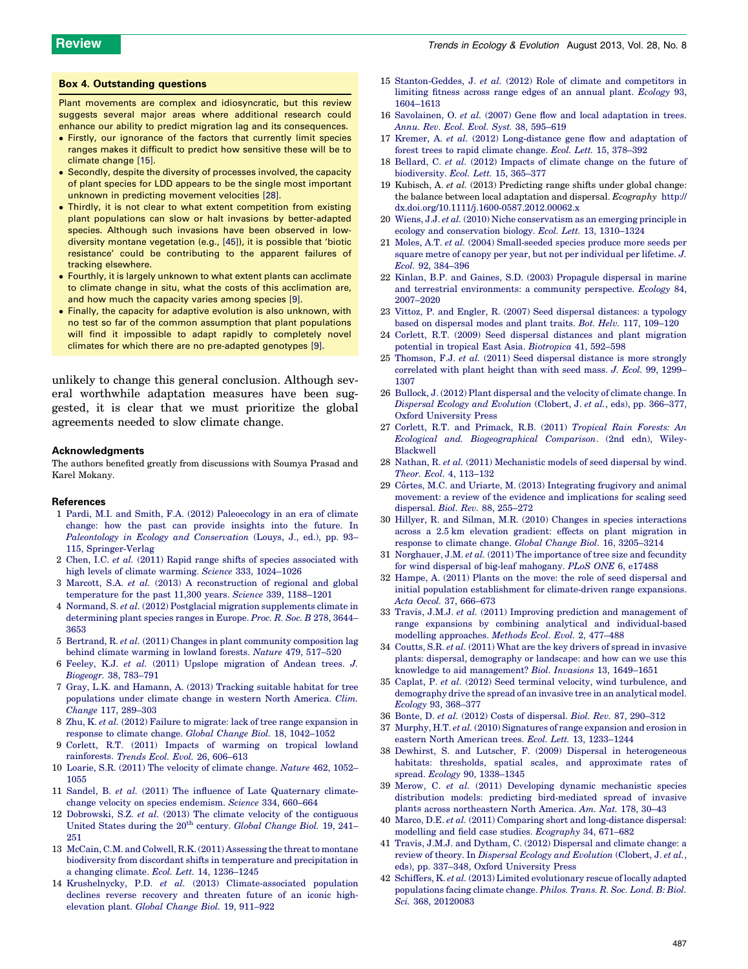#### <span id="page-5-0"></span>Box 4. Outstanding questions

Plant movements are complex and idiosyncratic, but this review suggests several major areas where additional research could enhance our ability to predict migration lag and its consequences.

- Firstly, our ignorance of the factors that currently limit species ranges makes it difficult to predict how sensitive these will be to climate change [15].
- Secondly, despite the diversity of processes involved, the capacity of plant species for LDD appears to be the single most important unknown in predicting movement velocities [28].
- $\bullet$  Thirdly, it is not clear to what extent competition from existing plant populations can slow or halt invasions by better-adapted species. Although such invasions have been observed in lowdiversity montane vegetation (e.g., [\[45\]\)](#page-6-0), it is possible that 'biotic resistance' could be contributing to the apparent failures of tracking elsewhere.
- $\bullet\,$  Fourthly, it is largely unknown to what extent plants can acclimate to climate change in situ, what the costs of this acclimation are, and how much the capacity varies among species [9].
- Finally, the capacity for adaptive evolution is also unknown, with no test so far of the common assumption that plant populations will find it impossible to adapt rapidly to completely novel climates for which there are no pre-adapted genotypes [9].

unlikely to change this general conclusion. Although several worthwhile adaptation measures have been suggested, it is clear that we must prioritize the global agreements needed to slow climate change.

#### Acknowledgments

The authors benefited greatly from discussions with Soumya Prasad and Karel Mokany.

#### References

- 1 Pardi, M.I. and Smith, F.A. (2012) [Paleoecology](http://refhub.elsevier.com/S0169-5347(13)00105-5/sbref0005) in an era of climate change: how the past can provide [insights](http://refhub.elsevier.com/S0169-5347(13)00105-5/sbref0005) into the future. In Paleontology in Ecology and [Conservation](http://refhub.elsevier.com/S0169-5347(13)00105-5/sbref0005) (Louys, J., ed.), pp. [93–](http://refhub.elsevier.com/S0169-5347(13)00105-5/sbref0005) 115, [Springer-Verlag](http://refhub.elsevier.com/S0169-5347(13)00105-5/sbref0005)
- 2 Chen, I.C. et al. (2011) Rapid range shifts of species [associated](http://refhub.elsevier.com/S0169-5347(13)00105-5/sbref0010) with high levels of climate warming. Science 333, [1024–1026](http://refhub.elsevier.com/S0169-5347(13)00105-5/sbref0010)
- 3 Marcott, S.A. et al. (2013) A [reconstruction](http://refhub.elsevier.com/S0169-5347(13)00105-5/sbref0015) of regional and global [temperature](http://refhub.elsevier.com/S0169-5347(13)00105-5/sbref0015) for the past 11,300 years. Science 339, 1188–1201
- 4 Normand, S. et al. (2012) Postglacial migration [supplements](http://refhub.elsevier.com/S0169-5347(13)00105-5/sbref0020) climate in [determining](http://refhub.elsevier.com/S0169-5347(13)00105-5/sbref0020) plant species ranges in Europe. Proc. R. Soc. B 278, 3644– [3653](http://refhub.elsevier.com/S0169-5347(13)00105-5/sbref0020)
- 5 Bertrand, R. et al. (2011) Changes in plant community [composition](http://refhub.elsevier.com/S0169-5347(13)00105-5/sbref0025) lag behind climate [warming](http://refhub.elsevier.com/S0169-5347(13)00105-5/sbref0025) in lowland forests. Nature 479, 517–520
- 6 Feeley, K.J. et al. (2011) Upslope [migration](http://refhub.elsevier.com/S0169-5347(13)00105-5/sbref0030) of Andean trees. J. [Biogeogr.](http://refhub.elsevier.com/S0169-5347(13)00105-5/sbref0030) 38, 783–791
- 7 Gray, L.K. and [Hamann,](http://refhub.elsevier.com/S0169-5347(13)00105-5/sbref0035) A. (2013) Tracking suitable habitat for tree [populations](http://refhub.elsevier.com/S0169-5347(13)00105-5/sbref0035) under climate change in western North America. Clim. Change 117, [289–303](http://refhub.elsevier.com/S0169-5347(13)00105-5/sbref0035)
- 8 Zhu, K. et al. (2012) Failure to migrate: lack of tree range [expansion](http://refhub.elsevier.com/S0169-5347(13)00105-5/sbref0040) in response to climate change. Global Change Biol. 18, [1042–1052](http://refhub.elsevier.com/S0169-5347(13)00105-5/sbref0040)
- 9 Corlett, R.T. (2011) Impacts of [warming](http://refhub.elsevier.com/S0169-5347(13)00105-5/sbref0045) on tropical lowland [rainforests.](http://refhub.elsevier.com/S0169-5347(13)00105-5/sbref0045) Trends Ecol. Evol. 26, 606–613
- 10 Loarie, S.R. (2011) The [velocity](http://refhub.elsevier.com/S0169-5347(13)00105-5/sbref0050) of climate change. Nature 462, 1052– [1055](http://refhub.elsevier.com/S0169-5347(13)00105-5/sbref0050)
- 11 Sandel, B. et al. (2011) The influence of Late [Quaternary](http://refhub.elsevier.com/S0169-5347(13)00105-5/sbref0055) climatechange velocity on species [endemism.](http://refhub.elsevier.com/S0169-5347(13)00105-5/sbref0055) Science 334, 660–664
- 12 [Dobrowski,](http://refhub.elsevier.com/S0169-5347(13)00105-5/sbref0060) S.Z. et al. (2013) The climate velocity of the contiguous [United](http://refhub.elsevier.com/S0169-5347(13)00105-5/sbref0060) States during the 20<sup>th</sup> [century.](http://refhub.elsevier.com/S0169-5347(13)00105-5/sbref0060) Global Change Biol. 19, 241-[251](http://refhub.elsevier.com/S0169-5347(13)00105-5/sbref0060)
- 13 McCain, C.M. and Colwell, R.K. (2011) [Assessing](http://refhub.elsevier.com/S0169-5347(13)00105-5/sbref0065) the threat to montane biodiversity from discordant shifts in temperature and [precipitation](http://refhub.elsevier.com/S0169-5347(13)00105-5/sbref0065) in a changing climate. Ecol. Lett. 14, [1236–1245](http://refhub.elsevier.com/S0169-5347(13)00105-5/sbref0065)
- 14 Krushelnycky, P.D. et al. (2013) [Climate-associated](http://refhub.elsevier.com/S0169-5347(13)00105-5/sbref0070) population declines reverse recovery and [threaten](http://refhub.elsevier.com/S0169-5347(13)00105-5/sbref0070) future of an iconic high[elevation](http://refhub.elsevier.com/S0169-5347(13)00105-5/sbref0070) plant. Global Change Biol. 19, 911–922
- 15 [Stanton-Geddes,](http://refhub.elsevier.com/S0169-5347(13)00105-5/sbref0075) J. et al. (2012) Role of climate and competitors in [limiting](http://refhub.elsevier.com/S0169-5347(13)00105-5/sbref0075) fitness across range edges of an annual plant. Ecology 93, [1604–1613](http://refhub.elsevier.com/S0169-5347(13)00105-5/sbref0075)
- 16 [Savolainen,](http://refhub.elsevier.com/S0169-5347(13)00105-5/sbref0080) O. et al. (2007) Gene flow and local adaptation in trees. Annu. Rev. Ecol. Evol. Syst. 38, [595–619](http://refhub.elsevier.com/S0169-5347(13)00105-5/sbref0080)
- 17 Kremer, A. et al. (2012) [Long-distance](http://refhub.elsevier.com/S0169-5347(13)00105-5/sbref0085) gene flow and adaptation of forest trees to rapid climate change. Ecol. Lett. 15, [378–392](http://refhub.elsevier.com/S0169-5347(13)00105-5/sbref0085)
- 18 Bellard, C. et al. (2012) [Impacts](http://refhub.elsevier.com/S0169-5347(13)00105-5/sbref0090) of climate change on the future of [biodiversity.](http://refhub.elsevier.com/S0169-5347(13)00105-5/sbref0090) Ecol. Lett. 15, 365–377
- 19 Kubisch, A. et al. (2013) Predicting range shifts under global change: the balance between local adaptation and dispersal. Ecography [http://](http://dx.doi.org/10.1111/j.1600-0587.2012.00062.x) [dx.doi.org/10.1111/j.1600-0587.2012.00062.x](http://dx.doi.org/10.1111/j.1600-0587.2012.00062.x)
- 20 Wiens, J.J. et al. (2010) Niche [conservatism](http://refhub.elsevier.com/S0169-5347(13)00105-5/sbref0100) as an emerging principle in ecology and [conservation](http://refhub.elsevier.com/S0169-5347(13)00105-5/sbref0100) biology. Ecol. Lett. 13, 1310–1324
- 21 Moles, A.T. et al. (2004) [Small-seeded](http://refhub.elsevier.com/S0169-5347(13)00105-5/sbref0105) species produce more seeds per square metre of canopy per year, but not per [individual](http://refhub.elsevier.com/S0169-5347(13)00105-5/sbref0105) per lifetime. J. Ecol. 92, [384–396](http://refhub.elsevier.com/S0169-5347(13)00105-5/sbref0105)
- 22 Kinlan, B.P. and Gaines, S.D. (2003) [Propagule](http://refhub.elsevier.com/S0169-5347(13)00105-5/sbref0110) dispersal in marine and terrestrial [environments:](http://refhub.elsevier.com/S0169-5347(13)00105-5/sbref0110) a community perspective. Ecology 84, [2007–2020](http://refhub.elsevier.com/S0169-5347(13)00105-5/sbref0110)
- 23 Vittoz, P. and Engler, R. (2007) Seed dispersal [distances:](http://refhub.elsevier.com/S0169-5347(13)00105-5/sbref0115) a typology based on [dispersal](http://refhub.elsevier.com/S0169-5347(13)00105-5/sbref0115) modes and plant traits. Bot. Helv. 117, 109–120
- 24 Corlett, R.T. (2009) Seed dispersal distances and plant [migration](http://refhub.elsevier.com/S0169-5347(13)00105-5/sbref0120) potential in tropical East Asia. [Biotropica](http://refhub.elsevier.com/S0169-5347(13)00105-5/sbref0120) 41, 592–598
- 25 [Thomson,](http://refhub.elsevier.com/S0169-5347(13)00105-5/sbref0125) F.J. et al. (2011) Seed dispersal distance is more strongly [correlated](http://refhub.elsevier.com/S0169-5347(13)00105-5/sbref0125) with plant height than with seed mass. J. Ecol. 99, 1299– [1307](http://refhub.elsevier.com/S0169-5347(13)00105-5/sbref0125)
- 26 Bullock, J. (2012) Plant [dispersal](http://refhub.elsevier.com/S0169-5347(13)00105-5/sbref0130) and the velocity of climate change. In Dispersal Ecology and [Evolution](http://refhub.elsevier.com/S0169-5347(13)00105-5/sbref0130) (Clobert, J. et al., eds), pp. [366–377,](http://refhub.elsevier.com/S0169-5347(13)00105-5/sbref0130) Oxford [University](http://refhub.elsevier.com/S0169-5347(13)00105-5/sbref0130) Press
- 27 Corlett, R.T. and [Primack,](http://refhub.elsevier.com/S0169-5347(13)00105-5/sbref0135) R.B. (2011) Tropical Rain Forests: An Ecological and. [Biogeographical](http://refhub.elsevier.com/S0169-5347(13)00105-5/sbref0135) Comparison. (2nd edn), Wiley-[Blackwell](http://refhub.elsevier.com/S0169-5347(13)00105-5/sbref0135)
- 28 Nathan, R. et al. (2011) [Mechanistic](http://refhub.elsevier.com/S0169-5347(13)00105-5/sbref0140) models of seed dispersal by wind. Theor. Ecol. 4, [113–132](http://refhub.elsevier.com/S0169-5347(13)00105-5/sbref0140)
- 29 Côrtes, M.C. and Uriarte, M. (2013) [Integrating](http://refhub.elsevier.com/S0169-5347(13)00105-5/sbref0145) frugivory and animal movement: a review of the evidence and [implications](http://refhub.elsevier.com/S0169-5347(13)00105-5/sbref0145) for scaling seed [dispersal.](http://refhub.elsevier.com/S0169-5347(13)00105-5/sbref0145) Biol. Rev. 88, 255–272
- 30 Hillyer, R. and Silman, M.R. (2010) Changes in species [interactions](http://refhub.elsevier.com/S0169-5347(13)00105-5/sbref0150) [across](http://refhub.elsevier.com/S0169-5347(13)00105-5/sbref0150) a 2.5 km elevation gradient: effects on plant [migration](http://refhub.elsevier.com/S0169-5347(13)00105-5/sbref0150) in response to climate change. Global Change Biol. 16, [3205–3214](http://refhub.elsevier.com/S0169-5347(13)00105-5/sbref0150)
- 31 [Norghauer,](http://refhub.elsevier.com/S0169-5347(13)00105-5/sbref0155) J.M. et al. (2011) The importance of tree size and fecundity for wind dispersal of big-leaf [mahogany.](http://refhub.elsevier.com/S0169-5347(13)00105-5/sbref0155) PLoS ONE 6, e17488
- 32 Hampe, A. (2011) Plants on the move: the role of seed [dispersal](http://refhub.elsevier.com/S0169-5347(13)00105-5/sbref0160) and initial population establishment for [climate-driven](http://refhub.elsevier.com/S0169-5347(13)00105-5/sbref0160) range expansions. Acta Oecol. 37, [666–673](http://refhub.elsevier.com/S0169-5347(13)00105-5/sbref0160)
- 33 Travis, J.M.J. et al. (2011) Improving prediction and [management](http://refhub.elsevier.com/S0169-5347(13)00105-5/sbref0165) of range expansions by combining analytical and [individual-based](http://refhub.elsevier.com/S0169-5347(13)00105-5/sbref0165) modelling [approaches.](http://refhub.elsevier.com/S0169-5347(13)00105-5/sbref0165) Methods Ecol. Evol. 2, 477–488
- 34 Coutts, S.R. et al. (2011) What are the key drivers of spread in [invasive](http://refhub.elsevier.com/S0169-5347(13)00105-5/sbref0170) plants: dispersal, [demography](http://refhub.elsevier.com/S0169-5347(13)00105-5/sbref0170) or landscape: and how can we use this knowledge to aid [management?](http://refhub.elsevier.com/S0169-5347(13)00105-5/sbref0170) Biol. Invasions 13, 1649–1651
- 35 Caplat, P. et al. (2012) Seed terminal velocity, wind [turbulence,](http://refhub.elsevier.com/S0169-5347(13)00105-5/sbref0175) and [demography](http://refhub.elsevier.com/S0169-5347(13)00105-5/sbref0175) drive the spread of an invasive tree in an analytical model. Ecology 93, [368–377](http://refhub.elsevier.com/S0169-5347(13)00105-5/sbref0175)
- 36 Bonte, D. et al. (2012) Costs of [dispersal.](http://refhub.elsevier.com/S0169-5347(13)00105-5/sbref0180) Biol. Rev. 87, 290–312
- 37 Murphy, H.T. et al. (2010) [Signatures](http://refhub.elsevier.com/S0169-5347(13)00105-5/sbref0185) of range expansion and erosion in eastern North American trees. Ecol. Lett. 13, [1233–1244](http://refhub.elsevier.com/S0169-5347(13)00105-5/sbref0185)
- 38 Dewhirst, S. and Lutscher, F. (2009) Dispersal in [heterogeneous](http://refhub.elsevier.com/S0169-5347(13)00105-5/sbref0190) habitats: thresholds, spatial scales, and [approximate](http://refhub.elsevier.com/S0169-5347(13)00105-5/sbref0190) rates of spread. Ecology 90, [1338–1345](http://refhub.elsevier.com/S0169-5347(13)00105-5/sbref0190)
- 39 Merow, C. et al. (2011) Developing dynamic [mechanistic](http://refhub.elsevier.com/S0169-5347(13)00105-5/sbref0195) species distribution models: predicting [bird-mediated](http://refhub.elsevier.com/S0169-5347(13)00105-5/sbref0195) spread of invasive plants across [northeastern](http://refhub.elsevier.com/S0169-5347(13)00105-5/sbref0195) North America. Am. Nat. 178, 30–43
- 40 Marco, D.E. et al. (2011) Comparing short and [long-distance](http://refhub.elsevier.com/S0169-5347(13)00105-5/sbref0200) dispersal: modelling and field case studies. [Ecography](http://refhub.elsevier.com/S0169-5347(13)00105-5/sbref0200) 34, 671–682
- 41 Travis, J.M.J. and Dytham, C. (2012) [Dispersal](http://refhub.elsevier.com/S0169-5347(13)00105-5/sbref0205) and climate change: a review of theory. In Dispersal Ecology and [Evolution](http://refhub.elsevier.com/S0169-5347(13)00105-5/sbref0205) (Clobert, J. et al., [eds\),](http://refhub.elsevier.com/S0169-5347(13)00105-5/sbref0205) pp. 337–348, Oxford [University](http://refhub.elsevier.com/S0169-5347(13)00105-5/sbref0205) Press
- 42 Schiffers, K. et al. (2013) Limited [evolutionary](http://refhub.elsevier.com/S0169-5347(13)00105-5/sbref0210) rescue of locally adapted [populations](http://refhub.elsevier.com/S0169-5347(13)00105-5/sbref0210) facing climate change. Philos. Trans. R. Soc. Lond. B: Biol. Sci. 368, [20120083](http://refhub.elsevier.com/S0169-5347(13)00105-5/sbref0210)